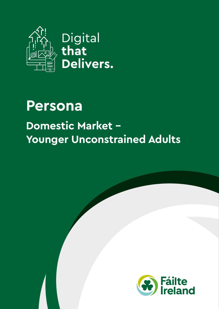

## **Persona Domestic Market - Younger Unconstrained Adults**